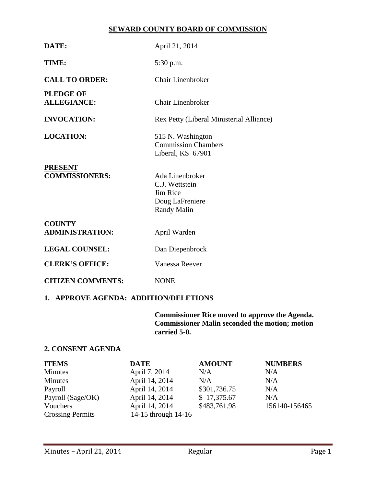## **SEWARD COUNTY BOARD OF COMMISSION**

| DATE:                                   | April 21, 2014                                                                         |  |  |
|-----------------------------------------|----------------------------------------------------------------------------------------|--|--|
| TIME:                                   | 5:30 p.m.                                                                              |  |  |
| <b>CALL TO ORDER:</b>                   | <b>Chair Linenbroker</b>                                                               |  |  |
| <b>PLEDGE OF</b><br><b>ALLEGIANCE:</b>  | Chair Linenbroker                                                                      |  |  |
| <b>INVOCATION:</b>                      | Rex Petty (Liberal Ministerial Alliance)                                               |  |  |
| <b>LOCATION:</b>                        | 515 N. Washington<br><b>Commission Chambers</b><br>Liberal, KS 67901                   |  |  |
| <b>PRESENT</b><br><b>COMMISSIONERS:</b> | Ada Linenbroker<br>C.J. Wettstein<br>Jim Rice<br>Doug LaFreniere<br><b>Randy Malin</b> |  |  |
| <b>COUNTY</b><br><b>ADMINISTRATION:</b> | April Warden                                                                           |  |  |
| <b>LEGAL COUNSEL:</b>                   | Dan Diepenbrock                                                                        |  |  |
| <b>CLERK'S OFFICE:</b>                  | Vanessa Reever                                                                         |  |  |
| <b>CITIZEN COMMENTS:</b>                | <b>NONE</b>                                                                            |  |  |
| 1. APPROVE AGENDA: ADDITION/DELETIONS   |                                                                                        |  |  |

**Commissioner Rice moved to approve the Agenda. Commissioner Malin seconded the motion; motion carried 5-0.**

# **2. CONSENT AGENDA**

| <b>ITEMS</b>            | <b>DATE</b>         | <b>AMOUNT</b> | <b>NUMBERS</b> |
|-------------------------|---------------------|---------------|----------------|
| <b>Minutes</b>          | April 7, 2014       | N/A           | N/A            |
| Minutes                 | April 14, 2014      | N/A           | N/A            |
| Payroll                 | April 14, 2014      | \$301,736.75  | N/A            |
| Payroll (Sage/OK)       | April 14, 2014      | \$17,375.67   | N/A            |
| Vouchers                | April 14, 2014      | \$483,761.98  | 156140-156465  |
| <b>Crossing Permits</b> | 14-15 through 14-16 |               |                |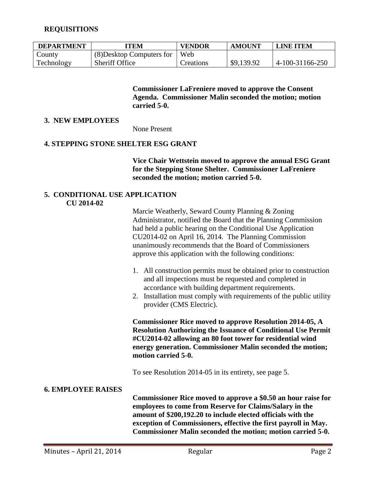## **REQUISITIONS**

| <b>DEPARTMENT</b> | ITEM                      | <b>VENDOR</b> | AMOUNT     | <b>LINE ITEM</b> |
|-------------------|---------------------------|---------------|------------|------------------|
| County            | (8) Desktop Computers for | Web           |            |                  |
| Technology        | Sheriff Office            | Creations     | \$9,139.92 | 4-100-31166-250  |

**Commissioner LaFreniere moved to approve the Consent Agenda. Commissioner Malin seconded the motion; motion carried 5-0.**

#### **3. NEW EMPLOYEES**

None Present

#### **4. STEPPING STONE SHELTER ESG GRANT**

**Vice Chair Wettstein moved to approve the annual ESG Grant for the Stepping Stone Shelter. Commissioner LaFreniere seconded the motion; motion carried 5-0.**

#### **5. CONDITIONAL USE APPLICATION CU 2014-02**

Marcie Weatherly, Seward County Planning & Zoning Administrator, notified the Board that the Planning Commission had held a public hearing on the Conditional Use Application CU2014-02 on April 16, 2014. The Planning Commission unanimously recommends that the Board of Commissioners approve this application with the following conditions:

- 1. All construction permits must be obtained prior to construction and all inspections must be requested and completed in accordance with building department requirements.
- 2. Installation must comply with requirements of the public utility provider (CMS Electric).

**Commissioner Rice moved to approve Resolution 2014-05, A Resolution Authorizing the Issuance of Conditional Use Permit #CU2014-02 allowing an 80 foot tower for residential wind energy generation. Commissioner Malin seconded the motion; motion carried 5-0.**

To see Resolution 2014-05 in its entirety, see page 5.

#### **6. EMPLOYEE RAISES**

**Commissioner Rice moved to approve a \$0.50 an hour raise for employees to come from Reserve for Claims/Salary in the amount of \$200,192.20 to include elected officials with the exception of Commissioners, effective the first payroll in May. Commissioner Malin seconded the motion; motion carried 5-0.**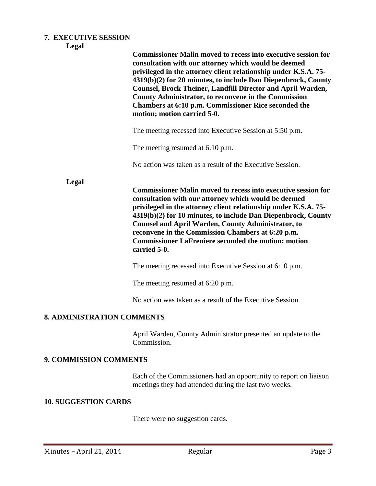# **7. EXECUTIVE SESSION**

|                                   | <b>Commissioner Malin moved to recess into executive session for</b><br>consultation with our attorney which would be deemed<br>privileged in the attorney client relationship under K.S.A. 75-<br>4319(b)(2) for 20 minutes, to include Dan Diepenbrock, County<br><b>Counsel, Brock Theiner, Landfill Director and April Warden,</b><br><b>County Administrator, to reconvene in the Commission</b><br>Chambers at 6:10 p.m. Commissioner Rice seconded the<br>motion; motion carried 5-0. |  |
|-----------------------------------|----------------------------------------------------------------------------------------------------------------------------------------------------------------------------------------------------------------------------------------------------------------------------------------------------------------------------------------------------------------------------------------------------------------------------------------------------------------------------------------------|--|
|                                   | The meeting recessed into Executive Session at 5:50 p.m.                                                                                                                                                                                                                                                                                                                                                                                                                                     |  |
|                                   | The meeting resumed at 6:10 p.m.                                                                                                                                                                                                                                                                                                                                                                                                                                                             |  |
|                                   | No action was taken as a result of the Executive Session.                                                                                                                                                                                                                                                                                                                                                                                                                                    |  |
| Legal                             | <b>Commissioner Malin moved to recess into executive session for</b><br>consultation with our attorney which would be deemed<br>privileged in the attorney client relationship under K.S.A. 75-<br>4319(b)(2) for 10 minutes, to include Dan Diepenbrock, County<br><b>Counsel and April Warden, County Administrator, to</b><br>reconvene in the Commission Chambers at 6:20 p.m.<br><b>Commissioner LaFreniere seconded the motion; motion</b><br>carried 5-0.                             |  |
|                                   | The meeting recessed into Executive Session at 6:10 p.m.                                                                                                                                                                                                                                                                                                                                                                                                                                     |  |
|                                   | The meeting resumed at 6:20 p.m.                                                                                                                                                                                                                                                                                                                                                                                                                                                             |  |
|                                   | No action was taken as a result of the Executive Session.                                                                                                                                                                                                                                                                                                                                                                                                                                    |  |
| <b>8. ADMINISTRATION COMMENTS</b> |                                                                                                                                                                                                                                                                                                                                                                                                                                                                                              |  |
|                                   | April Warden, County Administrator presented an update to the<br>Commission.                                                                                                                                                                                                                                                                                                                                                                                                                 |  |

# **9. COMMISSION COMMENTS**

Each of the Commissioners had an opportunity to report on liaison meetings they had attended during the last two weeks.

# **10. SUGGESTION CARDS**

There were no suggestion cards.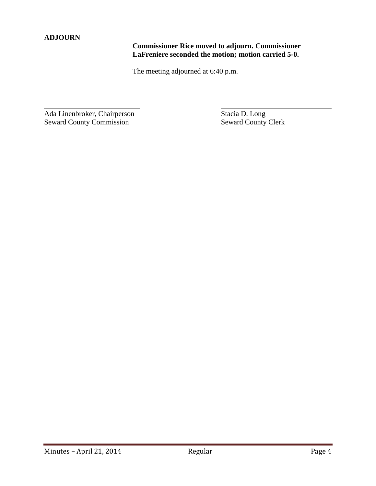# **ADJOURN**

 $\overline{a}$ 

# **Commissioner Rice moved to adjourn. Commissioner LaFreniere seconded the motion; motion carried 5-0.**

The meeting adjourned at 6:40 p.m.

Ada Linenbroker, Chairperson Stacia D. Long Seward County Commission Seward County Clerk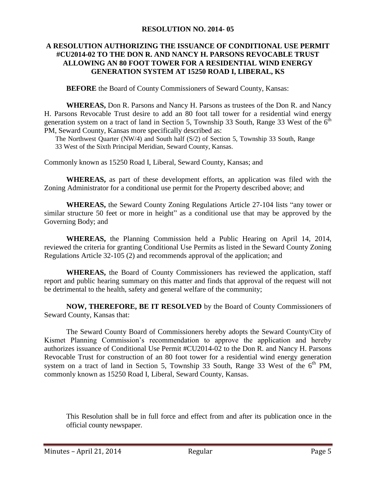#### **RESOLUTION NO. 2014- 05**

## **A RESOLUTION AUTHORIZING THE ISSUANCE OF CONDITIONAL USE PERMIT #CU2014-02 TO THE DON R. AND NANCY H. PARSONS REVOCABLE TRUST ALLOWING AN 80 FOOT TOWER FOR A RESIDENTIAL WIND ENERGY GENERATION SYSTEM AT 15250 ROAD I, LIBERAL, KS**

**BEFORE** the Board of County Commissioners of Seward County, Kansas:

**WHEREAS,** Don R. Parsons and Nancy H. Parsons as trustees of the Don R. and Nancy H. Parsons Revocable Trust desire to add an 80 foot tall tower for a residential wind energy generation system on a tract of land in Section 5, Township 33 South, Range 33 West of the  $\vec{6}^{\text{th}}$ PM, Seward County, Kansas more specifically described as:

The Northwest Quarter (NW/4) and South half (S/2) of Section 5, Township 33 South, Range 33 West of the Sixth Principal Meridian, Seward County, Kansas.

Commonly known as 15250 Road I, Liberal, Seward County, Kansas; and

**WHEREAS,** as part of these development efforts, an application was filed with the Zoning Administrator for a conditional use permit for the Property described above; and

**WHEREAS,** the Seward County Zoning Regulations Article 27-104 lists "any tower or similar structure 50 feet or more in height" as a conditional use that may be approved by the Governing Body; and

**WHEREAS,** the Planning Commission held a Public Hearing on April 14, 2014, reviewed the criteria for granting Conditional Use Permits as listed in the Seward County Zoning Regulations Article 32-105 (2) and recommends approval of the application; and

**WHEREAS,** the Board of County Commissioners has reviewed the application, staff report and public hearing summary on this matter and finds that approval of the request will not be detrimental to the health, safety and general welfare of the community;

**NOW, THEREFORE, BE IT RESOLVED** by the Board of County Commissioners of Seward County, Kansas that:

The Seward County Board of Commissioners hereby adopts the Seward County/City of Kismet Planning Commission's recommendation to approve the application and hereby authorizes issuance of Conditional Use Permit #CU2014-02 to the Don R. and Nancy H. Parsons Revocable Trust for construction of an 80 foot tower for a residential wind energy generation system on a tract of land in Section 5, Township 33 South, Range 33 West of the  $6<sup>th</sup>$  PM, commonly known as 15250 Road I, Liberal, Seward County, Kansas.

This Resolution shall be in full force and effect from and after its publication once in the official county newspaper.